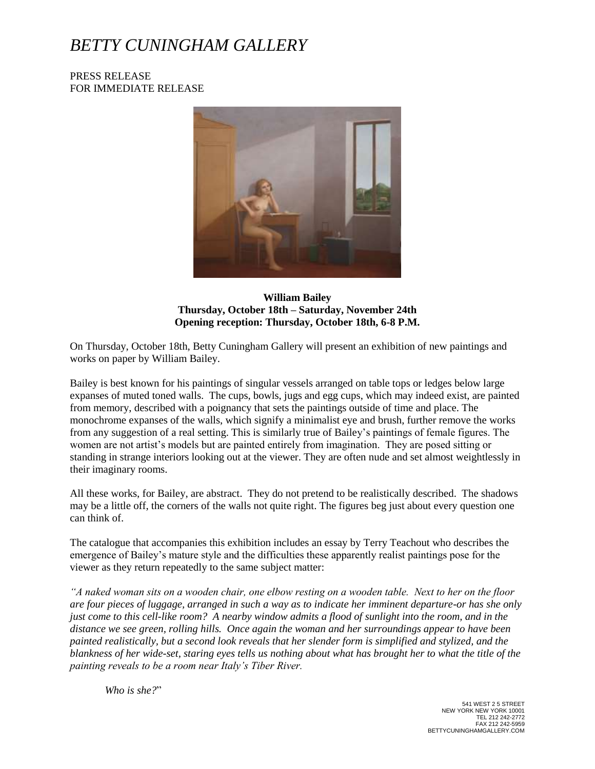## *BETTY CUNINGHAM GALLERY*

PRESS RELEASE FOR IMMEDIATE RELEASE



**William Bailey Thursday, October 18th – Saturday, November 24th Opening reception: Thursday, October 18th, 6-8 P.M.**

On Thursday, October 18th, Betty Cuningham Gallery will present an exhibition of new paintings and works on paper by William Bailey.

Bailey is best known for his paintings of singular vessels arranged on table tops or ledges below large expanses of muted toned walls. The cups, bowls, jugs and egg cups, which may indeed exist, are painted from memory, described with a poignancy that sets the paintings outside of time and place. The monochrome expanses of the walls, which signify a minimalist eye and brush, further remove the works from any suggestion of a real setting. This is similarly true of Bailey's paintings of female figures. The women are not artist's models but are painted entirely from imagination. They are posed sitting or standing in strange interiors looking out at the viewer. They are often nude and set almost weightlessly in their imaginary rooms.

All these works, for Bailey, are abstract. They do not pretend to be realistically described. The shadows may be a little off, the corners of the walls not quite right. The figures beg just about every question one can think of.

The catalogue that accompanies this exhibition includes an essay by Terry Teachout who describes the emergence of Bailey's mature style and the difficulties these apparently realist paintings pose for the viewer as they return repeatedly to the same subject matter:

*"A naked woman sits on a wooden chair, one elbow resting on a wooden table. Next to her on the floor are four pieces of luggage, arranged in such a way as to indicate her imminent departure-or has she only just come to this cell-like room? A nearby window admits a flood of sunlight into the room, and in the distance we see green, rolling hills. Once again the woman and her surroundings appear to have been painted realistically, but a second look reveals that her slender form is simplified and stylized, and the blankness of her wide-set, staring eyes tells us nothing about what has brought her to what the title of the painting reveals to be a room near Italy's Tiber River.*

*Who is she?*"